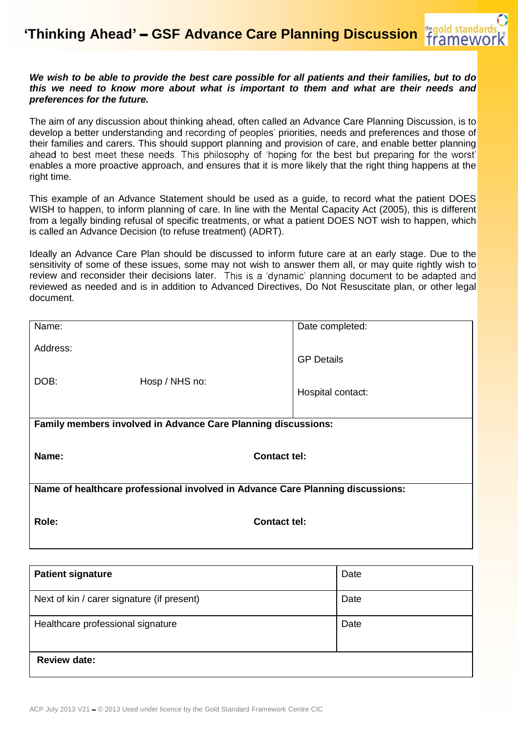## *We wish to be able to provide the best care possible for all patients and their families, but to do this we need to know more about what is important to them and what are their needs and preferences for the future.*

The aim of any discussion about thinking ahead, often called an Advance Care Planning Discussion, is to develop a better understanding and recording of peoples' priorities, needs and preferences and those of their families and carers. This should support planning and provision of care, and enable better planning ahead to best meet these needs. This philosophy of 'hoping for the best but preparing for the worst' enables a more proactive approach, and ensures that it is more likely that the right thing happens at the right time.

This example of an Advance Statement should be used as a guide, to record what the patient DOES WISH to happen, to inform planning of care. In line with the Mental Capacity Act (2005), this is different from a legally binding refusal of specific treatments, or what a patient DOES NOT wish to happen, which is called an Advance Decision (to refuse treatment) (ADRT).

Ideally an Advance Care Plan should be discussed to inform future care at an early stage. Due to the sensitivity of some of these issues, some may not wish to answer them all, or may quite rightly wish to review and reconsider their decisions later. This is a 'dynamic' planning document to be adapted and reviewed as needed and is in addition to Advanced Directives, Do Not Resuscitate plan, or other legal document.

| Name:                                                                          |                     | Date completed:   |  |  |
|--------------------------------------------------------------------------------|---------------------|-------------------|--|--|
| Address:                                                                       |                     | <b>GP Details</b> |  |  |
| DOB:                                                                           | Hosp / NHS no:      | Hospital contact: |  |  |
| Family members involved in Advance Care Planning discussions:                  |                     |                   |  |  |
| Name:                                                                          | <b>Contact tel:</b> |                   |  |  |
| Name of healthcare professional involved in Advance Care Planning discussions: |                     |                   |  |  |
| Role:                                                                          | <b>Contact tel:</b> |                   |  |  |

| <b>Patient signature</b>                   | Date |
|--------------------------------------------|------|
| Next of kin / carer signature (if present) | Date |
| Healthcare professional signature          | Date |
| <b>Review date:</b>                        |      |